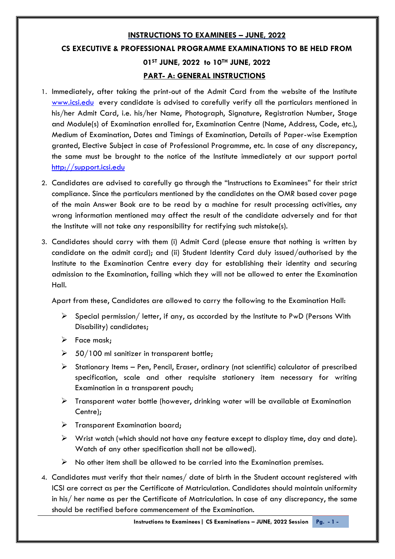# **INSTRUCTIONS TO EXAMINEES – JUNE, 2022 CS EXECUTIVE & PROFESSIONAL PROGRAMME EXAMINATIONS TO BE HELD FROM 01ST JUNE, 2022 to 10TH JUNE, 2022 PART- A: GENERAL INSTRUCTIONS**

- 1. Immediately, after taking the print-out of the Admit Card from the website of the Institute [www.icsi.edu](http://www.icsi.edu/) every candidate is advised to carefully verify all the particulars mentioned in his/her Admit Card, i.e. his/her Name, Photograph, Signature, Registration Number, Stage and Module(s) of Examination enrolled for, Examination Centre (Name, Address, Code, etc.), Medium of Examination, Dates and Timings of Examination, Details of Paper-wise Exemption granted, Elective Subject in case of Professional Programme, etc. In case of any discrepancy, the same must be brought to the notice of the Institute immediately at our support portal [http://support.icsi.edu](http://support.icsi.edu/)
- 2. Candidates are advised to carefully go through the "Instructions to Examinees" for their strict compliance. Since the particulars mentioned by the candidates on the OMR based cover page of the main Answer Book are to be read by a machine for result processing activities, any wrong information mentioned may affect the result of the candidate adversely and for that the Institute will not take any responsibility for rectifying such mistake(s).
- 3. Candidates should carry with them (i) Admit Card (please ensure that nothing is written by candidate on the admit card); and (ii) Student Identity Card duly issued/authorised by the Institute to the Examination Centre every day for establishing their identity and securing admission to the Examination, failing which they will not be allowed to enter the Examination Hall.

Apart from these, Candidates are allowed to carry the following to the Examination Hall:

- $\triangleright$  Special permission/ letter, if any, as accorded by the Institute to PwD (Persons With Disability) candidates;
- $\triangleright$  Face mask;
- $\geq$  50/100 ml sanitizer in transparent bottle;
- $\triangleright$  Stationary Items Pen, Pencil, Eraser, ordinary (not scientific) calculator of prescribed specification, scale and other requisite stationery item necessary for writing Examination in a transparent pouch;
- $\triangleright$  Transparent water bottle (however, drinking water will be available at Examination Centre);
- $\triangleright$  Transparent Examination board;
- $\triangleright$  Wrist watch (which should not have any feature except to display time, day and date). Watch of any other specification shall not be allowed).
- $\triangleright$  No other item shall be allowed to be carried into the Examination premises.
- 4. Candidates must verify that their names/ date of birth in the Student account registered with ICSI are correct as per the Certificate of Matriculation. Candidates should maintain uniformity in his/ her name as per the Certificate of Matriculation. In case of any discrepancy, the same should be rectified before commencement of the Examination.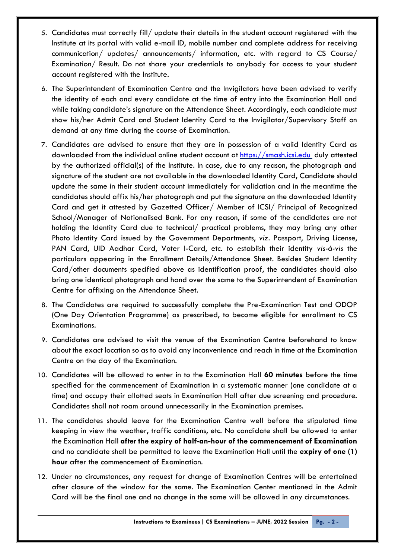- 5. Candidates must correctly fill/ update their details in the student account registered with the Institute at its portal with valid e-mail ID, mobile number and complete address for receiving communication/ updates/ announcements/ information, etc. with regard to CS Course/ Examination/ Result. Do not share your credentials to anybody for access to your student account registered with the Institute.
- 6. The Superintendent of Examination Centre and the Invigilators have been advised to verify the identity of each and every candidate at the time of entry into the Examination Hall and while taking candidate's signature on the Attendance Sheet. Accordingly, each candidate must show his/her Admit Card and Student Identity Card to the Invigilator/Supervisory Staff on demand at any time during the course of Examination.
- 7. Candidates are advised to ensure that they are in possession of a valid Identity Card as downloaded from the individual online student account at [https://smash.icsi.edu](https://smash.icsi.edu/) duly attested by the authorized official(s) of the Institute. In case, due to any reason, the photograph and signature of the student are not available in the downloaded Identity Card, Candidate should update the same in their student account immediately for validation and in the meantime the candidates should affix his/her photograph and put the signature on the downloaded Identity Card and get it attested by Gazetted Officer/ Member of ICSI/ Principal of Recognized School/Manager of Nationalised Bank. For any reason, if some of the candidates are not holding the Identity Card due to technical/ practical problems, they may bring any other Photo Identity Card issued by the Government Departments, *viz.* Passport, Driving License, PAN Card, UID Aadhar Card, Voter I-Card, etc. to establish their identity *vis-à-vis* the particulars appearing in the Enrollment Details/Attendance Sheet. Besides Student Identity Card/other documents specified above as identification proof, the candidates should also bring one identical photograph and hand over the same to the Superintendent of Examination Centre for affixing on the Attendance Sheet.
- 8. The Candidates are required to successfully complete the Pre-Examination Test and ODOP (One Day Orientation Programme) as prescribed, to become eligible for enrollment to CS Examinations.
- 9. Candidates are advised to visit the venue of the Examination Centre beforehand to know about the exact location so as to avoid any inconvenience and reach in time at the Examination Centre on the day of the Examination.
- 10. Candidates will be allowed to enter in to the Examination Hall **60 minutes** before the time specified for the commencement of Examination in a systematic manner (one candidate at a time) and occupy their allotted seats in Examination Hall after due screening and procedure. Candidates shall not roam around unnecessarily in the Examination premises.
- 11. The candidates should leave for the Examination Centre well before the stipulated time keeping in view the weather, traffic conditions, etc. No candidate shall be allowed to enter the Examination Hall **after the expiry of half-an-hour of the commencement of Examination**  and no candidate shall be permitted to leave the Examination Hall until the **expiry of one (1) hour** after the commencement of Examination.
- 12. Under no circumstances, any request for change of Examination Centres will be entertained after closure of the window for the same. The Examination Center mentioned in the Admit Card will be the final one and no change in the same will be allowed in any circumstances.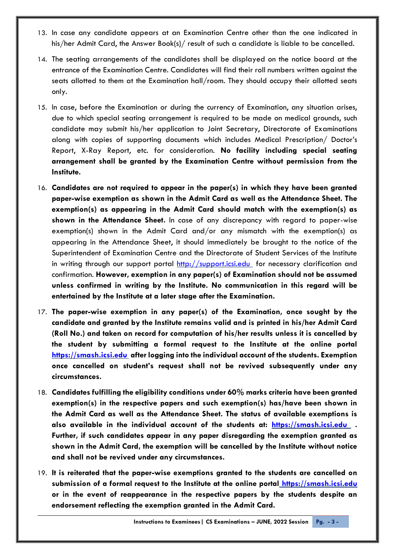- 13. In case any candidate appears at an Examination Centre other than the one indicated in his/her Admit Card, the Answer Book(s)/ result of such a candidate is liable to be cancelled.
- 14. The seating arrangements of the candidates shall be displayed on the notice board at the entrance of the Examination Centre. Candidates will find their roll numbers written against the seats allotted to them at the Examination hall/room. They should occupy their allotted seats only.
- 15. In case, before the Examination or during the currency of Examination, any situation arises, due to which special seating arrangement is required to be made on medical grounds, such candidate may submit his/her application to Joint Secretary, Directorate of Examinations along with copies of supporting documents which includes Medical Prescription/ Doctor's Report, X-Ray Report, etc. for consideration. **No facility including special seating arrangement shall be granted by the Examination Centre without permission from the Institute.**
- 16. **Candidates are not required to appear in the paper(s) in which they have been granted paper-wise exemption as shown in the Admit Card as well as the Attendance Sheet. The exemption(s) as appearing in the Admit Card should match with the exemption(s) as shown in the Attendance Sheet.** In case of any discrepancy with regard to paper-wise exemption(s) shown in the Admit Card and/or any mismatch with the exemption(s) as appearing in the Attendance Sheet, it should immediately be brought to the notice of the Superintendent of Examination Centre and the Directorate of Student Services of the Institute in writing through our support portal  $\frac{http://support.icsi.edu}{http://support.icsi.edu}$  for necessary clarification and confirmation. **However, exemption in any paper(s) of Examination should not be assumed unless confirmed in writing by the Institute. No communication in this regard will be entertained by the Institute at a later stage after the Examination.**
- 17. **The paper-wise exemption in any paper(s) of the Examination, once sought by the candidate and granted by the Institute remains valid and is printed in his/her Admit Card (Roll No.) and taken on record for computation of his/her results unless it is cancelled by the student by submitting a formal request to the Institute at the online portal [https://smash.icsi.edu](https://smash.icsi.edu/) after logging into the individual account of the students. Exemption once cancelled on student's request shall not be revived subsequently under any circumstances.**
- 18. **Candidates fulfilling the eligibility conditions under 60% marks criteria have been granted exemption(s) in the respective papers and such exemption(s) has/have been shown in the Admit Card as well as the Attendance Sheet. The status of available exemptions is also available in the individual account of the students at: [https://smash.icsi.edu](https://smash.icsi.edu/) . Further, if such candidates appear in any paper disregarding the exemption granted as shown in the Admit Card, the exemption will be cancelled by the Institute without notice and shall not be revived under any circumstances.**
- 19. **It is reiterated that the paper-wise exemptions granted to the students are cancelled on submission of a formal request to the Institute at the online portal [https://smash.icsi.edu](https://smash.icsi.edu/) or in the event of reappearance in the respective papers by the students despite an endorsement reflecting the exemption granted in the Admit Card.**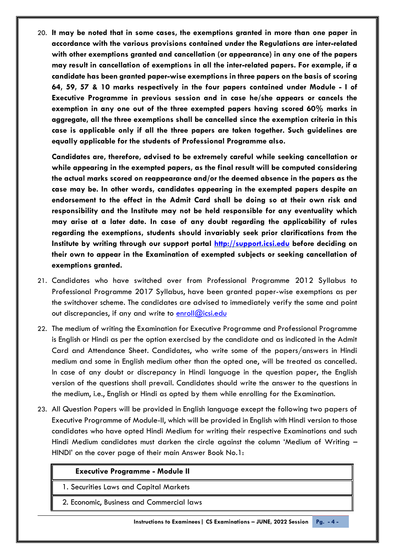20. **It may be noted that in some cases, the exemptions granted in more than one paper in accordance with the various provisions contained under the Regulations are inter-related with other exemptions granted and cancellation (or appearance) in any one of the papers may result in cancellation of exemptions in all the inter-related papers. For example, if a candidate has been granted paper-wise exemptions in three papers on the basis of scoring 64, 59, 57 & 10 marks respectively in the four papers contained under Module - I of Executive Programme in previous session and in case he/she appears or cancels the exemption in any one out of the three exempted papers having scored 60% marks in aggregate, all the three exemptions shall be cancelled since the exemption criteria in this case is applicable only if all the three papers are taken together. Such guidelines are equally applicable for the students of Professional Programme also.** 

**Candidates are, therefore, advised to be extremely careful while seeking cancellation or while appearing in the exempted papers, as the final result will be computed considering the actual marks scored on reappearance and/or the deemed absence in the papers as the case may be. In other words, candidates appearing in the exempted papers despite an endorsement to the effect in the Admit Card shall be doing so at their own risk and responsibility and the Institute may not be held responsible for any eventuality which may arise at a later date. In case of any doubt regarding the applicability of rules regarding the exemptions, students should invariably seek prior clarifications from the Institute by writing through our support portal [http://support.icsi.edu](http://support.icsi.edu/) before deciding on their own to appear in the Examination of exempted subjects or seeking cancellation of exemptions granted.**

- 21. Candidates who have switched over from Professional Programme 2012 Syllabus to Professional Programme 2017 Syllabus, have been granted paper-wise exemptions as per the switchover scheme. The candidates are advised to immediately verify the same and point out discrepancies, if any and write to  $enroll@icsi.edu$
- 22. The medium of writing the Examination for Executive Programme and Professional Programme is English or Hindi as per the option exercised by the candidate and as indicated in the Admit Card and Attendance Sheet. Candidates, who write some of the papers/answers in Hindi medium and some in English medium other than the opted one, will be treated as cancelled. In case of any doubt or discrepancy in Hindi language in the question paper, the English version of the questions shall prevail. Candidates should write the answer to the questions in the medium, i.e., English or Hindi as opted by them while enrolling for the Examination.
- 23. All Question Papers will be provided in English language except the following two papers of Executive Programme of Module-II, which will be provided in English with Hindi version to those candidates who have opted Hindi Medium for writing their respective Examinations and such Hindi Medium candidates must darken the circle against the column 'Medium of Writing – HINDI' on the cover page of their main Answer Book No.1:

#### **Executive Programme - Module II**

1. Securities Laws and Capital Markets

2. Economic, Business and Commercial laws

**Instructions to Examinees| CS Examinations – JUNE, 2022 Session Pg. - 4 -**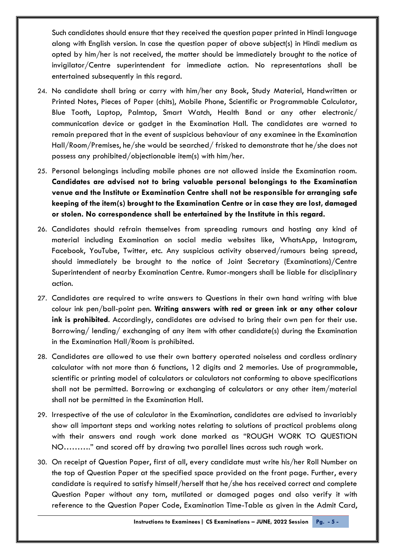Such candidates should ensure that they received the question paper printed in Hindi language along with English version. In case the question paper of above subject(s) in Hindi medium as opted by him/her is not received, the matter should be immediately brought to the notice of invigilator/Centre superintendent for immediate action. No representations shall be entertained subsequently in this regard.

- 24. No candidate shall bring or carry with him/her any Book, Study Material, Handwritten or Printed Notes, Pieces of Paper (chits), Mobile Phone, Scientific or Programmable Calculator, Blue Tooth, Laptop, Palmtop, Smart Watch, Health Band or any other electronic/ communication device or gadget in the Examination Hall. The candidates are warned to remain prepared that in the event of suspicious behaviour of any examinee in the Examination Hall/Room/Premises, he/she would be searched/ frisked to demonstrate that he/she does not possess any prohibited/objectionable item(s) with him/her.
- 25. Personal belongings including mobile phones are not allowed inside the Examination room. **Candidates are advised not to bring valuable personal belongings to the Examination venue and the Institute or Examination Centre shall not be responsible for arranging safe keeping of the item(s) brought to the Examination Centre or in case they are lost, damaged or stolen. No correspondence shall be entertained by the Institute in this regard.**
- 26. Candidates should refrain themselves from spreading rumours and hosting any kind of material including Examination on social media websites like, WhatsApp, Instagram, Facebook, YouTube, Twitter, etc. Any suspicious activity observed/rumours being spread, should immediately be brought to the notice of Joint Secretary (Examinations)/Centre Superintendent of nearby Examination Centre. Rumor-mongers shall be liable for disciplinary action.
- 27. Candidates are required to write answers to Questions in their own hand writing with blue colour ink pen/ball-point pen. **Writing answers with red or green ink or any other colour ink is prohibited**. Accordingly, candidates are advised to bring their own pen for their use. Borrowing/ lending/ exchanging of any item with other candidate(s) during the Examination in the Examination Hall/Room is prohibited.
- 28. Candidates are allowed to use their own battery operated noiseless and cordless ordinary calculator with not more than 6 functions, 12 digits and 2 memories. Use of programmable, scientific or printing model of calculators or calculators not conforming to above specifications shall not be permitted. Borrowing or exchanging of calculators or any other item/material shall not be permitted in the Examination Hall.
- 29. Irrespective of the use of calculator in the Examination, candidates are advised to invariably show all important steps and working notes relating to solutions of practical problems along with their answers and rough work done marked as "ROUGH WORK TO QUESTION NO………." and scored off by drawing two parallel lines across such rough work.
- 30. On receipt of Question Paper, first of all, every candidate must write his/her Roll Number on the top of Question Paper at the specified space provided on the front page. Further, every candidate is required to satisfy himself/herself that he/she has received correct and complete Question Paper without any torn, mutilated or damaged pages and also verify it with reference to the Question Paper Code, Examination Time-Table as given in the Admit Card,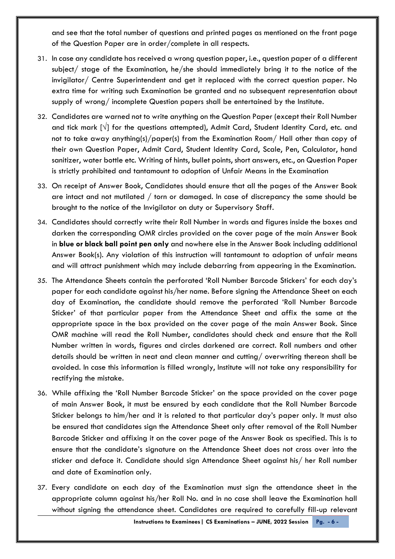and see that the total number of questions and printed pages as mentioned on the front page of the Question Paper are in order/complete in all respects.

- 31. In case any candidate has received a wrong question paper, i.e., question paper of a different subject/ stage of the Examination, he/she should immediately bring it to the notice of the invigilator/ Centre Superintendent and get it replaced with the correct question paper. No extra time for writing such Examination be granted and no subsequent representation about supply of wrong/ incomplete Question papers shall be entertained by the Institute.
- 32. Candidates are warned not to write anything on the Question Paper (except their Roll Number and tick mark [**√**] for the questions attempted), Admit Card, Student Identity Card, etc. and not to take away anything(s)/paper(s) from the Examination Room/ Hall other than copy of their own Question Paper, Admit Card, Student Identity Card, Scale, Pen, Calculator, hand sanitizer, water bottle etc. Writing of hints, bullet points, short answers, etc., on Question Paper is strictly prohibited and tantamount to adoption of Unfair Means in the Examination
- 33. On receipt of Answer Book, Candidates should ensure that all the pages of the Answer Book are intact and not mutilated / torn or damaged. In case of discrepancy the same should be brought to the notice of the Invigilator on duty or Supervisory Staff.
- 34. Candidates should correctly write their Roll Number in words and figures inside the boxes and darken the corresponding OMR circles provided on the cover page of the main Answer Book in **blue or black ball point pen only** and nowhere else in the Answer Book including additional Answer Book(s). Any violation of this instruction will tantamount to adoption of unfair means and will attract punishment which may include debarring from appearing in the Examination.
- *35.* The Attendance Sheets contain the perforated 'Roll Number Barcode Stickers' for each day's paper for each candidate against his/her name. Before signing the Attendance Sheet on each day of Examination, the candidate should remove the perforated 'Roll Number Barcode Sticker' of that particular paper from the Attendance Sheet and affix the same at the appropriate space in the box provided on the cover page of the main Answer Book. Since OMR machine will read the Roll Number, candidates should check and ensure that the Roll Number written in words, figures and circles darkened are correct. Roll numbers and other details should be written in neat and clean manner and cutting/ overwriting thereon shall be avoided. In case this information is filled wrongly, Institute will not take any responsibility for rectifying the mistake.
- 36. While affixing the 'Roll Number Barcode Sticker' on the space provided on the cover page of main Answer Book, it must be ensured by each candidate that the Roll Number Barcode Sticker belongs to him/her and it is related to that particular day's paper only. It must also be ensured that candidates sign the Attendance Sheet only after removal of the Roll Number Barcode Sticker and affixing it on the cover page of the Answer Book as specified. This is to ensure that the candidate's signature on the Attendance Sheet does not cross over into the sticker and deface it. Candidate should sign Attendance Sheet against his/ her Roll number and date of Examination only.
- 37. Every candidate on each day of the Examination must sign the attendance sheet in the appropriate column against his/her Roll No. and in no case shall leave the Examination hall without signing the attendance sheet. Candidates are required to carefully fill-up relevant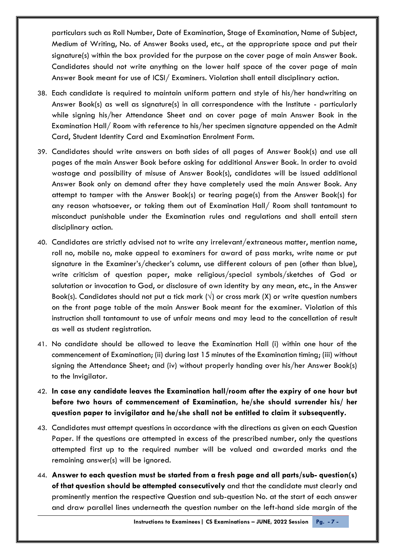particulars such as Roll Number, Date of Examination, Stage of Examination, Name of Subject, Medium of Writing, No. of Answer Books used, etc., at the appropriate space and put their signature(s) within the box provided for the purpose on the cover page of main Answer Book. Candidates should not write anything on the lower half space of the cover page of main Answer Book meant for use of ICSI/ Examiners. Violation shall entail disciplinary action.

- 38. Each candidate is required to maintain uniform pattern and style of his/her handwriting on Answer Book(s) as well as signature(s) in all correspondence with the Institute - particularly while signing his/her Attendance Sheet and on cover page of main Answer Book in the Examination Hall/ Room with reference to his/her specimen signature appended on the Admit Card, Student Identity Card and Examination Enrolment Form.
- 39. Candidates should write answers on both sides of all pages of Answer Book(s) and use all pages of the main Answer Book before asking for additional Answer Book. In order to avoid wastage and possibility of misuse of Answer Book(s), candidates will be issued additional Answer Book only on demand after they have completely used the main Answer Book. Any attempt to tamper with the Answer Book(s) or tearing page(s) from the Answer Book(s) for any reason whatsoever, or taking them out of Examination Hall/ Room shall tantamount to misconduct punishable under the Examination rules and regulations and shall entail stern disciplinary action.
- 40. Candidates are strictly advised not to write any irrelevant/extraneous matter, mention name, roll no, mobile no, make appeal to examiners for award of pass marks, write name or put signature in the Examiner's/checker's column, use different colours of pen (other than blue), write criticism of question paper, make religious/special symbols/sketches of God or salutation or invocation to God, or disclosure of own identity by any mean, etc., in the Answer Book(s). Candidates should not put a tick mark ( $\sqrt{ }$ ) or cross mark (X) or write question numbers on the front page table of the main Answer Book meant for the examiner. Violation of this instruction shall tantamount to use of unfair means and may lead to the cancellation of result as well as student registration.
- 41. No candidate should be allowed to leave the Examination Hall (i) within one hour of the commencement of Examination; (ii) during last 15 minutes of the Examination timing; (iii) without signing the Attendance Sheet; and (iv) without properly handing over his/her Answer Book(s) to the Invigilator.
- 42. **In case any candidate leaves the Examination hall/room after the expiry of one hour but before two hours of commencement of Examination, he/she should surrender his/ her question paper to invigilator and he/she shall not be entitled to claim it subsequently.**
- 43. Candidates must attempt questions in accordance with the directions as given on each Question Paper. If the questions are attempted in excess of the prescribed number, only the questions attempted first up to the required number will be valued and awarded marks and the remaining answer(s) will be ignored.
- 44. **Answer to each question must be started from a fresh page and all parts/sub- question(s) of that question should be attempted consecutively** and that the candidate must clearly and prominently mention the respective Question and sub-question No. at the start of each answer and draw parallel lines underneath the question number on the left-hand side margin of the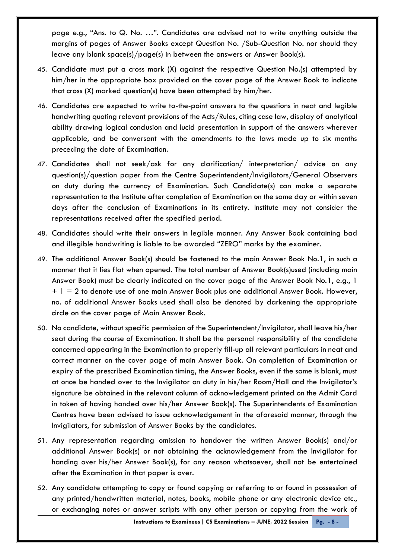page e.g., "Ans. to Q. No. …". Candidates are advised not to write anything outside the margins of pages of Answer Books except Question No. /Sub-Question No. nor should they leave any blank space(s)/page(s) in between the answers or Answer Book(s).

- 45. Candidate must put a cross mark (X) against the respective Question No.(s) attempted by him/her in the appropriate box provided on the cover page of the Answer Book to indicate that cross (X) marked question(s) have been attempted by him/her.
- 46. Candidates are expected to write to-the-point answers to the questions in neat and legible handwriting quoting relevant provisions of the Acts/Rules, citing case law, display of analytical ability drawing logical conclusion and lucid presentation in support of the answers wherever applicable, and be conversant with the amendments to the laws made up to six months preceding the date of Examination.
- 47. Candidates shall not seek/ask for any clarification/ interpretation/ advice on any question(s)/question paper from the Centre Superintendent/Invigilators/General Observers on duty during the currency of Examination. Such Candidate(s) can make a separate representation to the Institute after completion of Examination on the same day or within seven days after the conclusion of Examinations in its entirety. Institute may not consider the representations received after the specified period.
- 48. Candidates should write their answers in legible manner. Any Answer Book containing bad and illegible handwriting is liable to be awarded "ZERO" marks by the examiner.
- 49. The additional Answer Book(s) should be fastened to the main Answer Book No.1, in such a manner that it lies flat when opened. The total number of Answer Book(s)used (including main Answer Book) must be clearly indicated on the cover page of the Answer Book No.1, e.g., 1  $+ 1 = 2$  to denote use of one main Answer Book plus one additional Answer Book. However, no. of additional Answer Books used shall also be denoted by darkening the appropriate circle on the cover page of Main Answer Book.
- 50. No candidate, without specific permission of the Superintendent/Invigilator, shall leave his/her seat during the course of Examination. It shall be the personal responsibility of the candidate concerned appearing in the Examination to properly fill-up all relevant particulars in neat and correct manner on the cover page of main Answer Book. On completion of Examination or expiry of the prescribed Examination timing, the Answer Books, even if the same is blank, must at once be handed over to the Invigilator on duty in his/her Room/Hall and the Invigilator's signature be obtained in the relevant column of acknowledgement printed on the Admit Card in token of having handed over his/her Answer Book(s). The Superintendents of Examination Centres have been advised to issue acknowledgement in the aforesaid manner, through the Invigilators, for submission of Answer Books by the candidates.
- 51. Any representation regarding omission to handover the written Answer Book(s) and/or additional Answer Book(s) or not obtaining the acknowledgement from the Invigilator for handing over his/her Answer Book(s), for any reason whatsoever, shall not be entertained after the Examination in that paper is over.
- 52. Any candidate attempting to copy or found copying or referring to or found in possession of any printed/handwritten material, notes, books, mobile phone or any electronic device etc., or exchanging notes or answer scripts with any other person or copying from the work of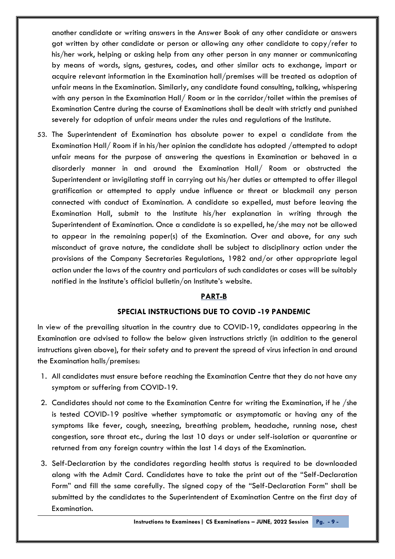another candidate or writing answers in the Answer Book of any other candidate or answers got written by other candidate or person or allowing any other candidate to copy/refer to his/her work, helping or asking help from any other person in any manner or communicating by means of words, signs, gestures, codes, and other similar acts to exchange, impart or acquire relevant information in the Examination hall/premises will be treated as adoption of unfair means in the Examination. Similarly, any candidate found consulting, talking, whispering with any person in the Examination Hall/ Room or in the corridor/toilet within the premises of Examination Centre during the course of Examinations shall be dealt with strictly and punished severely for adoption of unfair means under the rules and regulations of the Institute.

53. The Superintendent of Examination has absolute power to expel a candidate from the Examination Hall/ Room if in his/her opinion the candidate has adopted /attempted to adopt unfair means for the purpose of answering the questions in Examination or behaved in a disorderly manner in and around the Examination Hall/ Room or obstructed the Superintendent or invigilating staff in carrying out his/her duties or attempted to offer illegal gratification or attempted to apply undue influence or threat or blackmail any person connected with conduct of Examination. A candidate so expelled, must before leaving the Examination Hall, submit to the Institute his/her explanation in writing through the Superintendent of Examination. Once a candidate is so expelled, he/she may not be allowed to appear in the remaining paper(s) of the Examination. Over and above, for any such misconduct of grave nature, the candidate shall be subject to disciplinary action under the provisions of the Company Secretaries Regulations, 1982 and/or other appropriate legal action under the laws of the country and particulars of such candidates or cases will be suitably notified in the Institute's official bulletin/on Institute's website.

### **PART-B**

#### **SPECIAL INSTRUCTIONS DUE TO COVID -19 PANDEMIC**

In view of the prevailing situation in the country due to COVID-19, candidates appearing in the Examination are advised to follow the below given instructions strictly (in addition to the general instructions given above), for their safety and to prevent the spread of virus infection in and around the Examination halls/premises:

- 1. All candidates must ensure before reaching the Examination Centre that they do not have any symptom or suffering from COVID-19.
- 2. Candidates should not come to the Examination Centre for writing the Examination, if he /she is tested COVID-19 positive whether symptomatic or asymptomatic or having any of the symptoms like fever, cough, sneezing, breathing problem, headache, running nose, chest congestion, sore throat etc., during the last 10 days or under self-isolation or quarantine or returned from any foreign country within the last 14 days of the Examination.
- 3. Self-Declaration by the candidates regarding health status is required to be downloaded along with the Admit Card. Candidates have to take the print out of the "Self-Declaration Form" and fill the same carefully. The signed copy of the "Self-Declaration Form" shall be submitted by the candidates to the Superintendent of Examination Centre on the first day of Examination.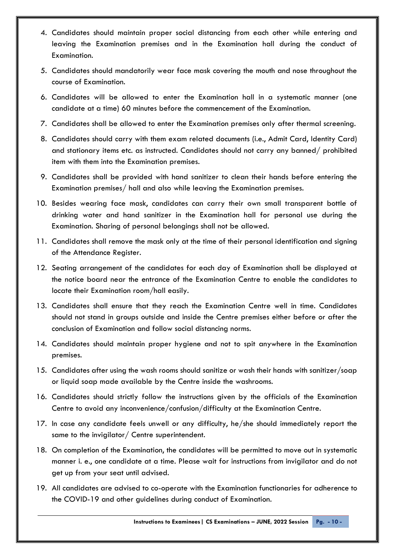- 4. Candidates should maintain proper social distancing from each other while entering and leaving the Examination premises and in the Examination hall during the conduct of Examination.
- 5. Candidates should mandatorily wear face mask covering the mouth and nose throughout the course of Examination.
- 6. Candidates will be allowed to enter the Examination hall in a systematic manner (one candidate at a time) 60 minutes before the commencement of the Examination.
- 7. Candidates shall be allowed to enter the Examination premises only after thermal screening.
- 8. Candidates should carry with them exam related documents (i.e., Admit Card, Identity Card) and stationary items etc. as instructed. Candidates should not carry any banned/ prohibited item with them into the Examination premises.
- 9. Candidates shall be provided with hand sanitizer to clean their hands before entering the Examination premises/ hall and also while leaving the Examination premises.
- 10. Besides wearing face mask, candidates can carry their own small transparent bottle of drinking water and hand sanitizer in the Examination hall for personal use during the Examination. Sharing of personal belongings shall not be allowed.
- 11. Candidates shall remove the mask only at the time of their personal identification and signing of the Attendance Register.
- 12. Seating arrangement of the candidates for each day of Examination shall be displayed at the notice board near the entrance of the Examination Centre to enable the candidates to locate their Examination room/hall easily.
- 13. Candidates shall ensure that they reach the Examination Centre well in time. Candidates should not stand in groups outside and inside the Centre premises either before or after the conclusion of Examination and follow social distancing norms.
- 14. Candidates should maintain proper hygiene and not to spit anywhere in the Examination premises.
- 15. Candidates after using the wash rooms should sanitize or wash their hands with sanitizer/soap or liquid soap made available by the Centre inside the washrooms.
- 16. Candidates should strictly follow the instructions given by the officials of the Examination Centre to avoid any inconvenience/confusion/difficulty at the Examination Centre.
- 17. In case any candidate feels unwell or any difficulty, he/she should immediately report the same to the invigilator/ Centre superintendent.
- 18. On completion of the Examination, the candidates will be permitted to move out in systematic manner i. e., one candidate at a time. Please wait for instructions from invigilator and do not get up from your seat until advised.
- 19. All candidates are advised to co-operate with the Examination functionaries for adherence to the COVID-19 and other guidelines during conduct of Examination.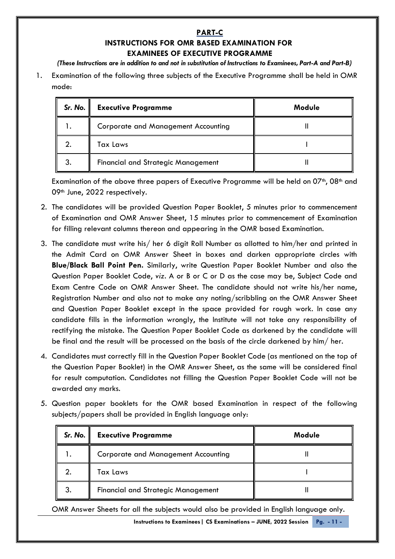## **PART-C INSTRUCTIONS FOR OMR BASED EXAMINATION FOR EXAMINEES OF EXECUTIVE PROGRAMME**

*(These Instructions are in addition to and not in substitution of Instructions to Examinees, Part-A and Part-B)*

1. Examination of the following three subjects of the Executive Programme shall be held in OMR mode:

| Sr. No. | <b>Executive Programme</b>                 | Module |
|---------|--------------------------------------------|--------|
|         | <b>Corporate and Management Accounting</b> |        |
|         | <b>Tax Laws</b>                            |        |
|         | <b>Financial and Strategic Management</b>  |        |

Examination of the above three papers of Executive Programme will be held on 07<sup>th</sup>, 08<sup>th</sup> and 09th June, 2022 respectively.

- 2. The candidates will be provided Question Paper Booklet, 5 minutes prior to commencement of Examination and OMR Answer Sheet, 15 minutes prior to commencement of Examination for filling relevant columns thereon and appearing in the OMR based Examination.
- 3. The candidate must write his/ her 6 digit Roll Number as allotted to him/her and printed in the Admit Card on OMR Answer Sheet in boxes and darken appropriate circles with **Blue/Black Ball Point Pen.** Similarly, write Question Paper Booklet Number and also the Question Paper Booklet Code, *viz.* A or B or C or D as the case may be, Subject Code and Exam Centre Code on OMR Answer Sheet. The candidate should not write his/her name, Registration Number and also not to make any noting/scribbling on the OMR Answer Sheet and Question Paper Booklet except in the space provided for rough work. In case any candidate fills in the information wrongly, the Institute will not take any responsibility of rectifying the mistake. The Question Paper Booklet Code as darkened by the candidate will be final and the result will be processed on the basis of the circle darkened by him/ her.
- 4. Candidates must correctly fill in the Question Paper Booklet Code (as mentioned on the top of the Question Paper Booklet) in the OMR Answer Sheet, as the same will be considered final for result computation. Candidates not filling the Question Paper Booklet Code will not be awarded any marks.
- 5. Question paper booklets for the OMR based Examination in respect of the following subjects/papers shall be provided in English language only:

| Sr. No. $\ $ | <b>Executive Programme</b>                 | Module |
|--------------|--------------------------------------------|--------|
|              | <b>Corporate and Management Accounting</b> |        |
|              | Tax Laws                                   |        |
|              | <b>Financial and Strategic Management</b>  |        |

OMR Answer Sheets for all the subjects would also be provided in English language only.

**Instructions to Examinees| CS Examinations – JUNE, 2022 Session Pg. - 11 -**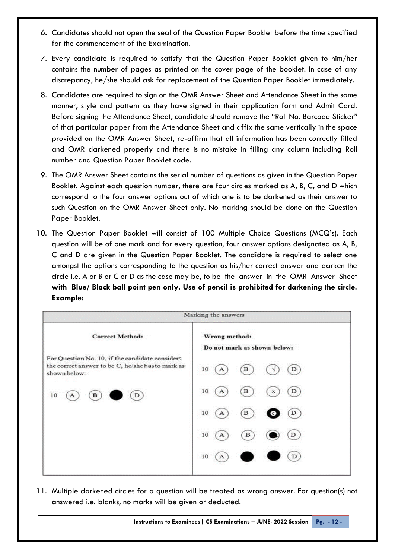- 6. Candidates should not open the seal of the Question Paper Booklet before the time specified for the commencement of the Examination.
- 7. Every candidate is required to satisfy that the Question Paper Booklet given to him/her contains the number of pages as printed on the cover page of the booklet. In case of any discrepancy, he/she should ask for replacement of the Question Paper Booklet immediately.
- 8. Candidates are required to sign on the OMR Answer Sheet and Attendance Sheet in the same manner, style and pattern as they have signed in their application form and Admit Card. Before signing the Attendance Sheet, candidate should remove the "Roll No. Barcode Sticker" of that particular paper from the Attendance Sheet and affix the same vertically in the space provided on the OMR Answer Sheet, re-affirm that all information has been correctly filled and OMR darkened properly and there is no mistake in filling any column including Roll number and Question Paper Booklet code.
- 9. The OMR Answer Sheet contains the serial number of questions as given in the Question Paper Booklet. Against each question number, there are four circles marked as A, B, C, and D which correspond to the four answer options out of which one is to be darkened as their answer to such Question on the OMR Answer Sheet only. No marking should be done on the Question Paper Booklet.
- 10. The Question Paper Booklet will consist of 100 Multiple Choice Questions (MCQ's). Each question will be of one mark and for every question, four answer options designated as A, B, C and D are given in the Question Paper Booklet. The candidate is required to select one amongst the options corresponding to the question as his/her correct answer and darken the circle i.e. A or B or C or D as the case may be, to be the answer in the OMR Answer Sheet **with Blue/ Black ball point pen only. Use of pencil is prohibited for darkening the circle. Example:**



11. Multiple darkened circles for a question will be treated as wrong answer. For question(s) not answered i.e. blanks, no marks will be given or deducted.

**Instructions to Examinees| CS Examinations – JUNE, 2022 Session Pg. - 12 -**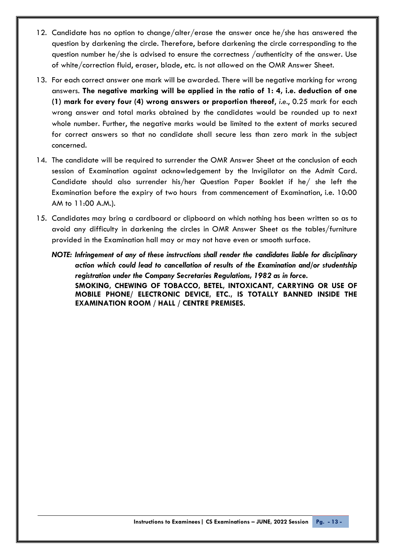- 12. Candidate has no option to change/alter/erase the answer once he/she has answered the question by darkening the circle. Therefore, before darkening the circle corresponding to the question number he/she is advised to ensure the correctness /authenticity of the answer. Use of white/correction fluid, eraser, blade, etc. is not allowed on the OMR Answer Sheet.
- 13. For each correct answer one mark will be awarded. There will be negative marking for wrong answers. **The negative marking will be applied in the ratio of 1: 4, i.e. deduction of one (1) mark for every four (4) wrong answers or proportion thereof**, *i.e*., 0.25 mark for each wrong answer and total marks obtained by the candidates would be rounded up to next whole number. Further, the negative marks would be limited to the extent of marks secured for correct answers so that no candidate shall secure less than zero mark in the subject concerned.
- 14. The candidate will be required to surrender the OMR Answer Sheet at the conclusion of each session of Examination against acknowledgement by the Invigilator on the Admit Card. Candidate should also surrender his/her Question Paper Booklet if he/ she left the Examination before the expiry of two hours from commencement of Examination, i.e. 10:00 AM to 11:00 A.M.).
- 15. Candidates may bring a cardboard or clipboard on which nothing has been written so as to avoid any difficulty in darkening the circles in OMR Answer Sheet as the tables/furniture provided in the Examination hall may or may not have even or smooth surface.
	- *NOTE: Infringement of any of these instructions shall render the candidates liable for disciplinary action which could lead to cancellation of results of the Examination and/or studentship registration under the Company Secretaries Regulations, 1982 as in force.* **SMOKING, CHEWING OF TOBACCO, BETEL, INTOXICANT, CARRYING OR USE OF MOBILE PHONE/ ELECTRONIC DEVICE, ETC., IS TOTALLY BANNED INSIDE THE EXAMINATION ROOM / HALL / CENTRE PREMISES.**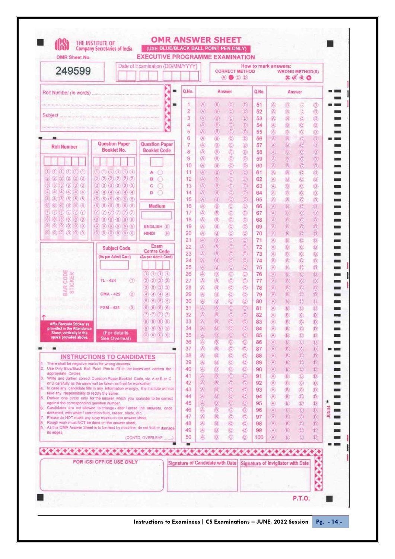